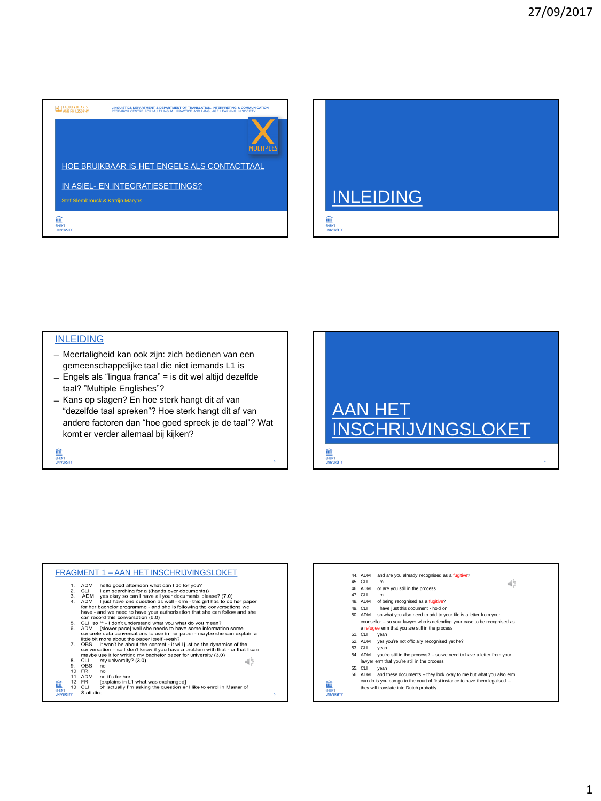



## INLEIDING

ohent .<br>T

- ̶ Meertaligheid kan ook zijn: zich bedienen van een gemeenschappelijke taal die niet iemands L1 is
- ̶Engels als "lingua franca" = is dit wel altijd dezelfde taal? "Multiple Englishes"?
- ̶Kans op slagen? En hoe sterk hangt dit af van "dezelfde taal spreken"? Hoe sterk hangt dit af van andere factoren dan "hoe goed spreek je de taal"? Wat komt er verder allemaal bij kijken?



| <b>FRAGMENT 1 - AAN HET INSCHRIJVINGSLOKET</b> |                                                                                                                 |                                                                 |                                                                        |   |
|------------------------------------------------|-----------------------------------------------------------------------------------------------------------------|-----------------------------------------------------------------|------------------------------------------------------------------------|---|
|                                                | 1.                                                                                                              | ADM                                                             |                                                                        |   |
|                                                |                                                                                                                 |                                                                 | hello good afternoon what can I do for you?                            |   |
|                                                | 2.                                                                                                              | CLI                                                             | I am searching for a ((hands over documents))                          |   |
|                                                | 3.                                                                                                              | ADM                                                             | yes okay so can I have all your documents please? (7.0)                |   |
|                                                | 4.                                                                                                              | <b>ADM</b>                                                      | I just have one question as well - erm - this girl has to do her paper |   |
|                                                |                                                                                                                 |                                                                 | for her bachelor programme - and she is following the conversations we |   |
|                                                | have - and we need to have your authorisation that she can follow and she<br>can record this conversation (5.0) |                                                                 |                                                                        |   |
|                                                |                                                                                                                 |                                                                 |                                                                        |   |
|                                                | 5.                                                                                                              | CLI so ** - I don't understand what you what do you mean?       |                                                                        |   |
|                                                | 6.                                                                                                              | ADM                                                             | Islower pace] well she needs to have some information some             |   |
|                                                |                                                                                                                 |                                                                 |                                                                        |   |
|                                                | concrete data conversations to use in her paper - maybe she can explain a                                       |                                                                 |                                                                        |   |
|                                                |                                                                                                                 |                                                                 | little bit more about the paper itself -yeah?                          |   |
|                                                | 7.                                                                                                              | OBS                                                             | it won't be about the content - it will just be the dynamics of the    |   |
|                                                | conversation - so I don't know if you have a problem with that - or that I can                                  |                                                                 |                                                                        |   |
|                                                |                                                                                                                 | maybe use it for writing my bachelor paper for university (3.0) |                                                                        |   |
|                                                | 8.                                                                                                              | CLI                                                             | my university? (3.0)<br>Œ                                              |   |
|                                                | 9.                                                                                                              | OBS                                                             | no                                                                     |   |
|                                                |                                                                                                                 | 10. FRI                                                         | no                                                                     |   |
|                                                |                                                                                                                 | 11. ADM                                                         | no it's for her                                                        |   |
|                                                |                                                                                                                 | 12. FRI                                                         |                                                                        |   |
|                                                |                                                                                                                 |                                                                 | [explains in L1 what was exchanged]                                    |   |
| <b>GHEM</b>                                    |                                                                                                                 | 13. CLI                                                         | oh actually I'm asking the question er I like to enrol in Master of    |   |
| <b>UNIVERSITY</b>                              |                                                                                                                 | <b>Statistics</b>                                               |                                                                        | 5 |

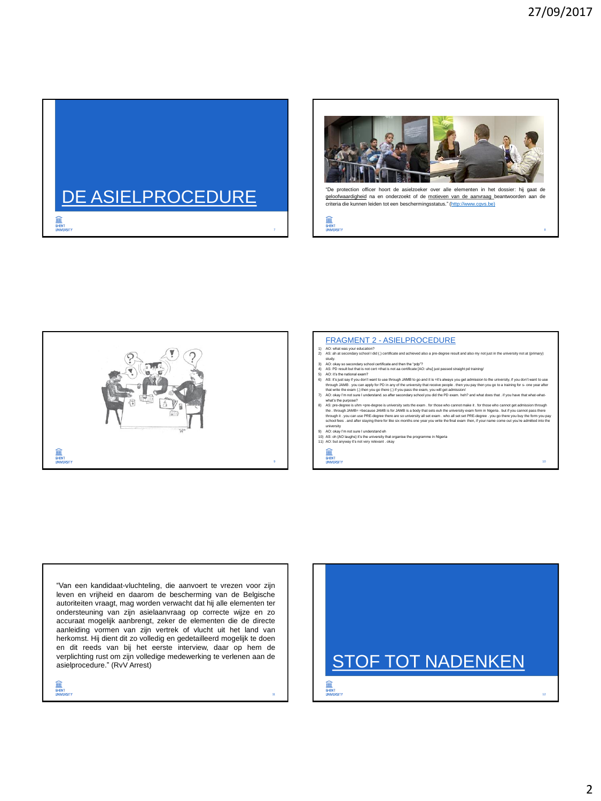10





"De protection officer hoort de asielzoeker over alle elementen in het dossier: hij gaat de geloofwaardigheid na en onderzoekt of de motieven van de aanvraag beantwoorden aan de criteria die kunnen leiden tot een beschermingsstatus." [\(http://www.cgvs.be\)](http://www.cgvs.be/nl/werken-voor-het-cgvs))





## FRAGMENT 2 - ASIELPROCEDURE

- 1) AO: what was your education?<br>2) AS: ah at secondary school I did (.) certificate and achieved also a pre-degree result and also my not just in the university not at (primary)
- 
- 

2) AS an its secondary school ids () certificate and achieved also a pre-degree result and also my not just in the university not at (spirmary)<br>
3) AC o day so secondary school certificate and then the "pdp"?<br>
4) AS: PD re

- 9) AO: okay I'm not sure I understand eh
- 10) AS: oh {AO laughs} it's the university that organise the programme in Nigeria 11) AO: but anyway it's not very relevant . okay

**ONENT** 

11

"Van een kandidaat-vluchteling, die aanvoert te vrezen voor zijn leven en vrijheid en daarom de bescherming van de Belgische autoriteiten vraagt, mag worden verwacht dat hij alle elementen ter ondersteuning van zijn asielaanvraag op correcte wijze en zo accuraat mogelijk aanbrengt, zeker de elementen die de directe aanleiding vormen van zijn vertrek of vlucht uit het land van herkomst. Hij dient dit zo volledig en gedetailleerd mogelijk te doen en dit reeds van bij het eerste interview, daar op hem de verplichting rust om zijn volledige medewerking te verlenen aan de asielprocedure." (RvV Arrest)

≘ **GHENT**<br>LINIVERSITY